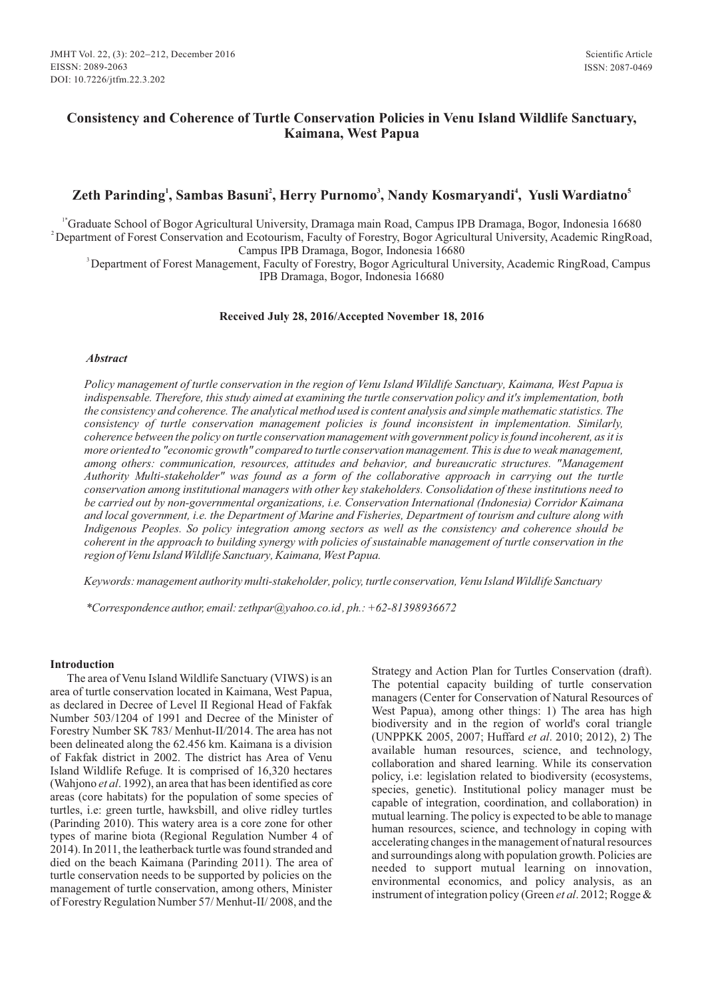## **Consistency and Coherence of Turtle Conservation Policies in Venu Island Wildlife Sanctuary, Kaimana, West Papua**

# **<sup>1</sup> <sup>2</sup> <sup>3</sup> <sup>4</sup> <sup>5</sup> Zeth Parinding , Sambas Basuni , Herry Purnomo , Nandy Kosmaryandi , Yusli Wardiatno**

<sup>1\*</sup>Graduate School of Bogor Agricultural University, Dramaga main Road, Campus IPB Dramaga, Bogor, Indonesia 16680 <sup>2</sup>Department of Forest Conservation and Ecotourism, Faculty of Forestry, Bogor Agricultural University, Academic RingRoad, Campus IPB Dramaga, Bogor, Indonesia 16680

<sup>3</sup>Department of Forest Management, Faculty of Forestry, Bogor Agricultural University, Academic RingRoad, Campus IPB Dramaga, Bogor, Indonesia 16680

#### **Received July 28, 2016/Accepted November 18, 2016**

#### *Abstract*

*Policy management of turtle conservation in the region of Venu Island Wildlife Sanctuary, Kaimana, West Papua is indispensable. Therefore, this study aimed at examining the turtle conservation policy and it's implementation, both the consistency and coherence. The analytical method used is content analysis and simple mathematic statistics. The consistency of turtle conservation management policies is found inconsistent in implementation. Similarly, coherence between the policy on turtle conservation management with government policy is found incoherent, as it is more oriented to "economic growth" compared to turtle conservation management. This is due to weak management, among others: communication, resources, attitudes and behavior, and bureaucratic structures. "Management Authority Multi-stakeholder" was found as a form of the collaborative approach in carrying out the turtle conservation among institutional managers with other key stakeholders. Consolidation of these institutions need to be carried out by non-governmental organizations, i.e. Conservation International (Indonesia) Corridor Kaimana and local government, i.e. the Department of Marine and Fisheries, Department of tourism and culture along with Indigenous Peoples. So policy integration among sectors as well as the consistency and coherence should be coherent in the approach to building synergy with policies of sustainable management of turtle conservation in the region of Venu Island Wildlife Sanctuary, Kaimana, West Papua.*

*Keywords: management authority multi-stakeholder, policy, turtle conservation, Venu Island Wildlife Sanctuary*

*\*Correspondence author, email:zethpar@yahoo.co.id , ph.: +62-81398936672*

#### **Introduction**

The area of Venu Island Wildlife Sanctuary (VIWS) is an area of turtle conservation located in Kaimana, West Papua, as declared in Decree of Level II Regional Head of Fakfak Number 503/1204 of 1991 and Decree of the Minister of Forestry Number SK 783/ Menhut-II/2014. The area has not been delineated along the 62.456 km. Kaimana is a division of Fakfak district in 2002. The district has Area of Venu Island Wildlife Refuge. It is comprised of 16,320 hectares (Wahjono *et al*. 1992), an area that has been identified as core areas (core habitats) for the population of some species of turtles, i.e: green turtle, hawksbill, and olive ridley turtles (Parinding 2010). This watery area is a core zone for other types of marine biota (Regional Regulation Number 4 of 2014). In 2011, the leatherback turtle was found stranded and died on the beach Kaimana (Parinding 2011). The area of turtle conservation needs to be supported by policies on the management of turtle conservation, among others, Minister of Forestry Regulation Number 57/ Menhut-II/ 2008, and the Strategy and Action Plan for Turtles Conservation (draft). The potential capacity building of turtle conservation managers (Center for Conservation of Natural Resources of West Papua), among other things: 1) The area has high biodiversity and in the region of world's coral triangle (UNPPKK 2005, 2007; Huffard *et al*. 2010; 2012), 2) The available human resources, science, and technology, collaboration and shared learning. While its conservation policy, i.e: legislation related to biodiversity (ecosystems, species, genetic). Institutional policy manager must be capable of integration, coordination, and collaboration) in mutual learning. The policy is expected to be able to manage human resources, science, and technology in coping with accelerating changes in the management of natural resources and surroundings along with population growth. Policies are needed to support mutual learning on innovation, environmental economics, and policy analysis, as an instrument of integration policy (Green *et al*. 2012; Rogge &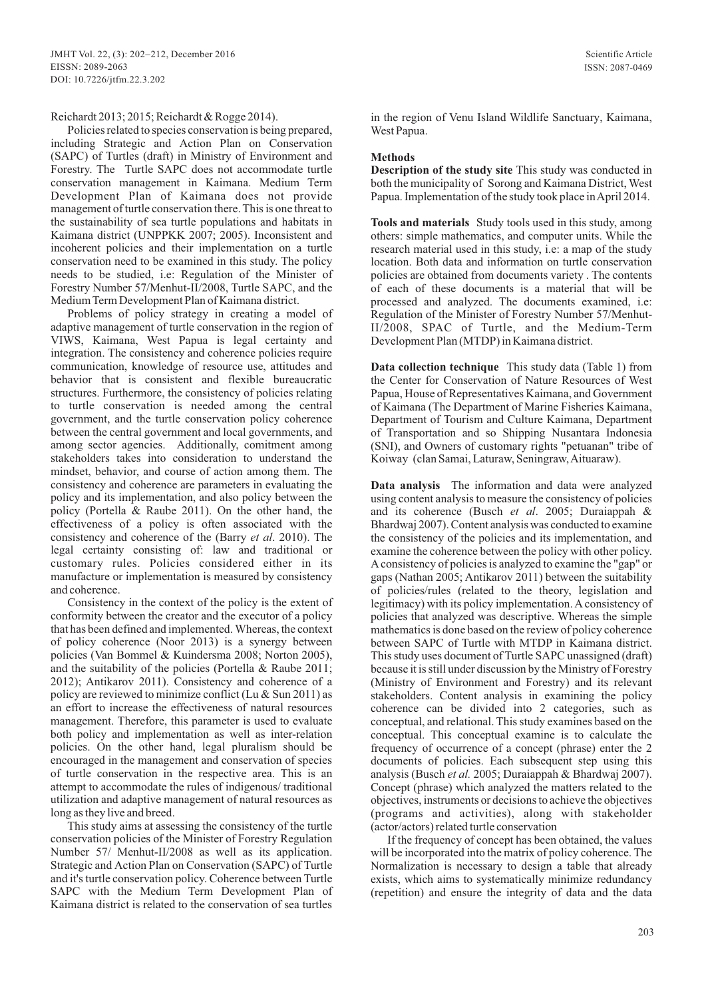#### Reichardt 2013; 2015; Reichardt & Rogge 2014).

Policies related to species conservation is being prepared, including Strategic and Action Plan on Conservation (SAPC) of Turtles (draft) in Ministry of Environment and Forestry. The Turtle SAPC does not accommodate turtle conservation management in Kaimana. Medium Term Development Plan of Kaimana does not provide management of turtle conservation there. This is one threat to the sustainability of sea turtle populations and habitats in Kaimana district (UNPPKK 2007; 2005). Inconsistent and incoherent policies and their implementation on a turtle conservation need to be examined in this study. The policy needs to be studied, i.e: Regulation of the Minister of Forestry Number 57/Menhut-II/2008, Turtle SAPC, and the Medium Term Development Plan of Kaimana district.

Problems of policy strategy in creating a model of adaptive management of turtle conservation in the region of VIWS, Kaimana, West Papua is legal certainty and integration. The consistency and coherence policies require communication, knowledge of resource use, attitudes and behavior that is consistent and flexible bureaucratic structures. Furthermore, the consistency of policies relating to turtle conservation is needed among the central government, and the turtle conservation policy coherence between the central government and local governments, and among sector agencies. Additionally, comitment among stakeholders takes into consideration to understand the mindset, behavior, and course of action among them. The consistency and coherence are parameters in evaluating the policy and its implementation, and also policy between the policy (Portella & Raube 2011). On the other hand, the effectiveness of a policy is often associated with the consistency and coherence of the (Barry *et al*. 2010). The legal certainty consisting of: law and traditional or customary rules. Policies considered either in its manufacture or implementation is measured by consistency and coherence.

Consistency in the context of the policy is the extent of conformity between the creator and the executor of a policy that has been defined and implemented. Whereas, the context of policy coherence (Noor 2013) is a synergy between policies (Van Bommel & Kuindersma 2008; Norton 2005), and the suitability of the policies (Portella & Raube 2011; 2012); Antikarov 2011). Consistency and coherence of a policy are reviewed to minimize conflict (Lu & Sun 2011) as an effort to increase the effectiveness of natural resources management. Therefore, this parameter is used to evaluate both policy and implementation as well as inter-relation policies. On the other hand, legal pluralism should be encouraged in the management and conservation of species of turtle conservation in the respective area. This is an attempt to accommodate the rules of indigenous/ traditional utilization and adaptive management of natural resources as long as they live and breed.

This study aims at assessing the consistency of the turtle conservation policies of the Minister of Forestry Regulation Number 57/ Menhut-II/2008 as well as its application. Strategic and Action Plan on Conservation (SAPC) of Turtle and it's turtle conservation policy. Coherence between Turtle SAPC with the Medium Term Development Plan of Kaimana district is related to the conservation of sea turtles

in the region of Venu Island Wildlife Sanctuary, Kaimana, West Papua.

#### **Methods**

**Description of the study site** This study was conducted in both the municipality of Sorong and Kaimana District, West Papua. Implementation of the study took place in April 2014.

**Tools and materials** Study tools used in this study, among others: simple mathematics, and computer units. While the research material used in this study, i.e: a map of the study location. Both data and information on turtle conservation policies are obtained from documents variety . The contents of each of these documents is a material that will be processed and analyzed. The documents examined, i.e: Regulation of the Minister of Forestry Number 57/Menhut-II/2008, SPAC of Turtle, and the Medium-Term Development Plan (MTDP) in Kaimana district.

**Data collection technique** This study data (Table 1) from the Center for Conservation of Nature Resources of West Papua, House of Representatives Kaimana, and Government of Kaimana (The Department of Marine Fisheries Kaimana, Department of Tourism and Culture Kaimana, Department of Transportation and so Shipping Nusantara Indonesia (SNI), and Owners of customary rights "petuanan" tribe of Koiway (clan Samai, Laturaw, Seningraw, Aituaraw).

**Data analysis** The information and data were analyzed using content analysis to measure the consistency of policies and its coherence (Busch *et al*. 2005; Duraiappah & Bhardwaj 2007). Content analysis was conducted to examine the consistency of the policies and its implementation, and examine the coherence between the policy with other policy. Aconsistency of policies is analyzed to examine the "gap" or gaps (Nathan 2005; Antikarov 2011) between the suitability of policies/rules (related to the theory, legislation and legitimacy) with its policy implementation. Aconsistency of policies that analyzed was descriptive. Whereas the simple mathematics is done based on the review of policy coherence between SAPC of Turtle with MTDP in Kaimana district. This study uses document of Turtle SAPC unassigned (draft) because it is still under discussion by the Ministry of Forestry (Ministry of Environment and Forestry) and its relevant stakeholders. Content analysis in examining the policy coherence can be divided into 2 categories, such as conceptual, and relational. This study examines based on the conceptual. This conceptual examine is to calculate the frequency of occurrence of a concept (phrase) enter the 2 documents of policies. Each subsequent step using this analysis (Busch *et al.* 2005; Duraiappah & Bhardwaj 2007). Concept (phrase) which analyzed the matters related to the objectives, instruments or decisions to achieve the objectives (programs and activities), along with stakeholder (actor/actors) related turtle conservation

If the frequency of concept has been obtained, the values will be incorporated into the matrix of policy coherence. The Normalization is necessary to design a table that already exists, which aims to systematically minimize redundancy (repetition) and ensure the integrity of data and the data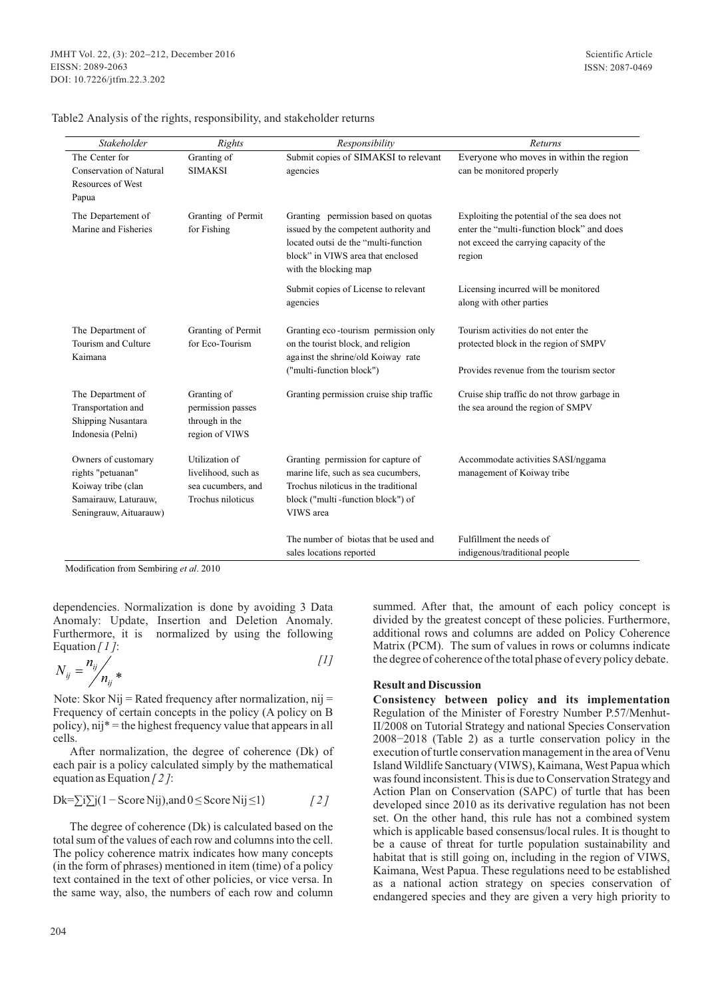| Stakeholder                    | Rights              | Responsibility                          | <b>Returns</b>                               |
|--------------------------------|---------------------|-----------------------------------------|----------------------------------------------|
| The Center for                 | Granting of         | Submit copies of SIMAKSI to relevant    | Everyone who moves in within the region      |
| <b>Conservation of Natural</b> | <b>SIMAKSI</b>      | agencies                                | can be monitored properly                    |
| Resources of West              |                     |                                         |                                              |
| Papua                          |                     |                                         |                                              |
| The Departement of             | Granting of Permit  | Granting permission based on quotas     | Exploiting the potential of the sea does not |
| Marine and Fisheries           | for Fishing         | issued by the competent authority and   | enter the "multi-function block" and does    |
|                                |                     | located outsi de the "multi-function"   | not exceed the carrying capacity of the      |
|                                |                     | block" in VIWS area that enclosed       | region                                       |
|                                |                     | with the blocking map                   |                                              |
|                                |                     | Submit copies of License to relevant    | Licensing incurred will be monitored         |
|                                |                     | agencies                                | along with other parties                     |
|                                |                     |                                         |                                              |
| The Department of              | Granting of Permit  | Granting eco-tourism permission only    | Tourism activities do not enter the          |
| Tourism and Culture            | for Eco-Tourism     | on the tourist block, and religion      | protected block in the region of SMPV        |
| Kaimana                        |                     | against the shrine/old Koiway rate      |                                              |
|                                |                     | ("multi-function block")                | Provides revenue from the tourism sector     |
| The Department of              | Granting of         | Granting permission cruise ship traffic | Cruise ship traffic do not throw garbage in  |
| Transportation and             | permission passes   |                                         | the sea around the region of SMPV            |
| Shipping Nusantara             | through in the      |                                         |                                              |
| Indonesia (Pelni)              | region of VIWS      |                                         |                                              |
|                                |                     |                                         |                                              |
| Owners of customary            | Utilization of      | Granting permission for capture of      | Accommodate activities SASI/nggama           |
| rights "petuanan"              | livelihood, such as | marine life, such as sea cucumbers,     | management of Koiway tribe                   |
| Koiway tribe (clan             | sea cucumbers, and  | Trochus niloticus in the traditional    |                                              |
| Samairauw, Laturauw,           | Trochus niloticus   | block ("multi-function block") of       |                                              |
| Seningrauw, Aituarauw)         |                     | VIWS area                               |                                              |
|                                |                     | The number of biotas that be used and   | Fulfillment the needs of                     |
|                                |                     | sales locations reported                | indigenous/traditional people                |

Table2 Analysis of the rights, responsibility, and stakeholder returns

Modification from Sembiring *et al*. 2010

dependencies. Normalization is done by avoiding 3 Data Anomaly: Update, Insertion and Deletion Anomaly. Furthermore, it is normalized by using the following Equation *[ 1 ]*:

$$
N_{ij} = \frac{n_{ij}}{n_{ij}} \ast \tag{1}
$$

Note: Skor Nij = Rated frequency after normalization, nij = Frequency of certain concepts in the policy (A policy on B policy), nij\* = the highest frequency value that appears in all cells.

After normalization, the degree of coherence (Dk) of each pair is a policy calculated simply by the mathematical equation as Equation *[ 2 ]*:

$$
Dk = \sum i \sum j(1 - Score Nij), and 0 \leq Score Nij \leq 1)
$$
 [2]

The degree of coherence (Dk) is calculated based on the total sum of the values of each row and columns into the cell. The policy coherence matrix indicates how many concepts (in the form of phrases) mentioned in item (time) of a policy text contained in the text of other policies, or vice versa. In the same way, also, the numbers of each row and column

summed. After that, the amount of each policy concept is divided by the greatest concept of these policies. Furthermore, additional rows and columns are added on Policy Coherence Matrix (PCM). The sum of values in rows or columns indicate the degree of coherence of the total phase of every policy debate.

### **Result and Discussion**

**Consistency between policy and its implementation** Regulation of the Minister of Forestry Number P.57/Menhut-II/2008 on Tutorial Strategy and national Species Conservation 2008−2018 (Table 2) as a turtle conservation policy in the execution of turtle conservation management in the area of Venu Island Wildlife Sanctuary (VIWS), Kaimana, West Papua which was found inconsistent. This is due to Conservation Strategy and Action Plan on Conservation (SAPC) of turtle that has been developed since 2010 as its derivative regulation has not been set. On the other hand, this rule has not a combined system which is applicable based consensus/local rules. It is thought to be a cause of threat for turtle population sustainability and habitat that is still going on, including in the region of VIWS, Kaimana, West Papua. These regulations need to be established as a national action strategy on species conservation of endangered species and they are given a very high priority to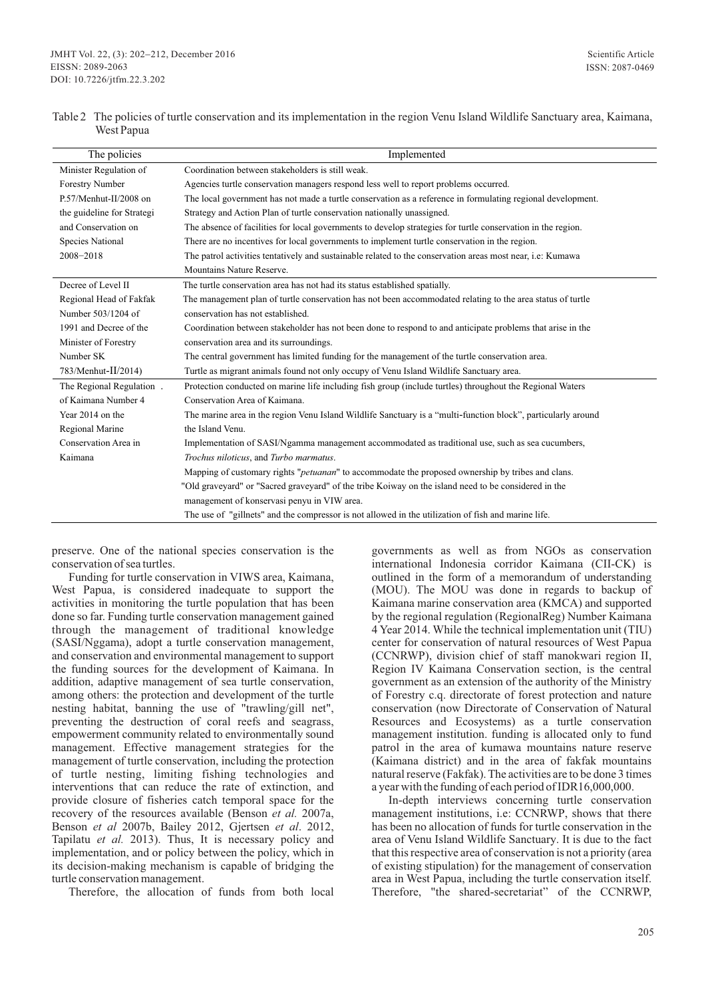| Table 2 The policies of turtle conservation and its implementation in the region Venu Island Wildlife Sanctuary area, Kaimana, |  |
|--------------------------------------------------------------------------------------------------------------------------------|--|
| West Papua                                                                                                                     |  |

| Coordination between stakeholders is still weak.<br>Minister Regulation of<br>Forestry Number<br>Agencies turtle conservation managers respond less well to report problems occurred.<br>P.57/Menhut-II/2008 on<br>The local government has not made a turtle conservation as a reference in formulating regional development.<br>the guideline for Strategi<br>Strategy and Action Plan of turtle conservation nationally unassigned.<br>and Conservation on<br>The absence of facilities for local governments to develop strategies for turtle conservation in the region.<br>There are no incentives for local governments to implement turtle conservation in the region.<br>Species National<br>2008-2018<br>The patrol activities tentatively and sustainable related to the conservation areas most near, i.e: Kumawa<br>Mountains Nature Reserve.<br>Decree of Level II<br>The turtle conservation area has not had its status established spatially.<br>Regional Head of Fakfak<br>The management plan of turtle conservation has not been accommodated relating to the area status of turtle<br>conservation has not established.<br>Number 503/1204 of |
|--------------------------------------------------------------------------------------------------------------------------------------------------------------------------------------------------------------------------------------------------------------------------------------------------------------------------------------------------------------------------------------------------------------------------------------------------------------------------------------------------------------------------------------------------------------------------------------------------------------------------------------------------------------------------------------------------------------------------------------------------------------------------------------------------------------------------------------------------------------------------------------------------------------------------------------------------------------------------------------------------------------------------------------------------------------------------------------------------------------------------------------------------------------------|
|                                                                                                                                                                                                                                                                                                                                                                                                                                                                                                                                                                                                                                                                                                                                                                                                                                                                                                                                                                                                                                                                                                                                                                    |
|                                                                                                                                                                                                                                                                                                                                                                                                                                                                                                                                                                                                                                                                                                                                                                                                                                                                                                                                                                                                                                                                                                                                                                    |
|                                                                                                                                                                                                                                                                                                                                                                                                                                                                                                                                                                                                                                                                                                                                                                                                                                                                                                                                                                                                                                                                                                                                                                    |
|                                                                                                                                                                                                                                                                                                                                                                                                                                                                                                                                                                                                                                                                                                                                                                                                                                                                                                                                                                                                                                                                                                                                                                    |
|                                                                                                                                                                                                                                                                                                                                                                                                                                                                                                                                                                                                                                                                                                                                                                                                                                                                                                                                                                                                                                                                                                                                                                    |
|                                                                                                                                                                                                                                                                                                                                                                                                                                                                                                                                                                                                                                                                                                                                                                                                                                                                                                                                                                                                                                                                                                                                                                    |
|                                                                                                                                                                                                                                                                                                                                                                                                                                                                                                                                                                                                                                                                                                                                                                                                                                                                                                                                                                                                                                                                                                                                                                    |
|                                                                                                                                                                                                                                                                                                                                                                                                                                                                                                                                                                                                                                                                                                                                                                                                                                                                                                                                                                                                                                                                                                                                                                    |
|                                                                                                                                                                                                                                                                                                                                                                                                                                                                                                                                                                                                                                                                                                                                                                                                                                                                                                                                                                                                                                                                                                                                                                    |
|                                                                                                                                                                                                                                                                                                                                                                                                                                                                                                                                                                                                                                                                                                                                                                                                                                                                                                                                                                                                                                                                                                                                                                    |
|                                                                                                                                                                                                                                                                                                                                                                                                                                                                                                                                                                                                                                                                                                                                                                                                                                                                                                                                                                                                                                                                                                                                                                    |
| 1991 and Decree of the<br>Coordination between stakeholder has not been done to respond to and anticipate problems that arise in the                                                                                                                                                                                                                                                                                                                                                                                                                                                                                                                                                                                                                                                                                                                                                                                                                                                                                                                                                                                                                               |
| Minister of Forestry<br>conservation area and its surroundings.                                                                                                                                                                                                                                                                                                                                                                                                                                                                                                                                                                                                                                                                                                                                                                                                                                                                                                                                                                                                                                                                                                    |
| The central government has limited funding for the management of the turtle conservation area.<br>Number SK                                                                                                                                                                                                                                                                                                                                                                                                                                                                                                                                                                                                                                                                                                                                                                                                                                                                                                                                                                                                                                                        |
| $783/Menhut-II/2014$<br>Turtle as migrant animals found not only occupy of Venu Island Wildlife Sanctuary area.                                                                                                                                                                                                                                                                                                                                                                                                                                                                                                                                                                                                                                                                                                                                                                                                                                                                                                                                                                                                                                                    |
| Protection conducted on marine life including fish group (include turtles) throughout the Regional Waters<br>The Regional Regulation.                                                                                                                                                                                                                                                                                                                                                                                                                                                                                                                                                                                                                                                                                                                                                                                                                                                                                                                                                                                                                              |
| Conservation Area of Kaimana.<br>of Kaimana Number 4                                                                                                                                                                                                                                                                                                                                                                                                                                                                                                                                                                                                                                                                                                                                                                                                                                                                                                                                                                                                                                                                                                               |
| Year 2014 on the<br>The marine area in the region Venu Island Wildlife Sanctuary is a "multi-function block", particularly around                                                                                                                                                                                                                                                                                                                                                                                                                                                                                                                                                                                                                                                                                                                                                                                                                                                                                                                                                                                                                                  |
| the Island Venu.<br>Regional Marine                                                                                                                                                                                                                                                                                                                                                                                                                                                                                                                                                                                                                                                                                                                                                                                                                                                                                                                                                                                                                                                                                                                                |
| Conservation Area in<br>Implementation of SASI/Ngamma management accommodated as traditional use, such as sea cucumbers,                                                                                                                                                                                                                                                                                                                                                                                                                                                                                                                                                                                                                                                                                                                                                                                                                                                                                                                                                                                                                                           |
| Trochus niloticus, and Turbo marmatus.<br>Kaimana                                                                                                                                                                                                                                                                                                                                                                                                                                                                                                                                                                                                                                                                                                                                                                                                                                                                                                                                                                                                                                                                                                                  |
| Mapping of customary rights " <i>petuanan</i> " to accommodate the proposed ownership by tribes and clans.                                                                                                                                                                                                                                                                                                                                                                                                                                                                                                                                                                                                                                                                                                                                                                                                                                                                                                                                                                                                                                                         |
| "Old graveyard" or "Sacred graveyard" of the tribe Koiway on the island need to be considered in the                                                                                                                                                                                                                                                                                                                                                                                                                                                                                                                                                                                                                                                                                                                                                                                                                                                                                                                                                                                                                                                               |
| management of konservasi penyu in VIW area.                                                                                                                                                                                                                                                                                                                                                                                                                                                                                                                                                                                                                                                                                                                                                                                                                                                                                                                                                                                                                                                                                                                        |
| The use of "gillnets" and the compressor is not allowed in the utilization of fish and marine life.                                                                                                                                                                                                                                                                                                                                                                                                                                                                                                                                                                                                                                                                                                                                                                                                                                                                                                                                                                                                                                                                |

preserve. One of the national species conservation is the conservation of sea turtles.

Funding for turtle conservation in VIWS area, Kaimana, West Papua, is considered inadequate to support the activities in monitoring the turtle population that has been done so far. Funding turtle conservation management gained through the management of traditional knowledge (SASI/Nggama), adopt a turtle conservation management, and conservation and environmental management to support the funding sources for the development of Kaimana. In addition, adaptive management of sea turtle conservation, among others: the protection and development of the turtle nesting habitat, banning the use of "trawling/gill net", preventing the destruction of coral reefs and seagrass, empowerment community related to environmentally sound management. Effective management strategies for the management of turtle conservation, including the protection of turtle nesting, limiting fishing technologies and interventions that can reduce the rate of extinction, and provide closure of fisheries catch temporal space for the recovery of the resources available (Benson *et al.* 2007a, Benson *et al* 2007b, Bailey 2012, Gjertsen *et al*. 2012, Tapilatu *et al.* 2013). Thus, It is necessary policy and implementation, and or policy between the policy, which in its decision-making mechanism is capable of bridging the turtle conservation management.

Therefore, the allocation of funds from both local

governments as well as from NGOs as conservation international Indonesia corridor Kaimana (CII-CK) is outlined in the form of a memorandum of understanding (MOU). The MOU was done in regards to backup of Kaimana marine conservation area (KMCA) and supported by the regional regulation (RegionalReg) Number Kaimana 4 Year 2014. While the technical implementation unit (TIU) center for conservation of natural resources of West Papua (CCNRWP), division chief of staff manokwari region II, Region IV Kaimana Conservation section, is the central government as an extension of the authority of the Ministry of Forestry c.q. directorate of forest protection and nature conservation (now Directorate of Conservation of Natural Resources and Ecosystems) as a turtle conservation management institution. funding is allocated only to fund patrol in the area of kumawa mountains nature reserve (Kaimana district) and in the area of fakfak mountains natural reserve (Fakfak). The activities are to be done 3 times a year with the funding of each period of IDR16,000,000.

In-depth interviews concerning turtle conservation management institutions, i.e: CCNRWP, shows that there has been no allocation of funds for turtle conservation in the area of Venu Island Wildlife Sanctuary. It is due to the fact that this respective area of conservation is not a priority (area of existing stipulation) for the management of conservation area in West Papua, including the turtle conservation itself. Therefore, "the shared-secretariat" of the CCNRWP,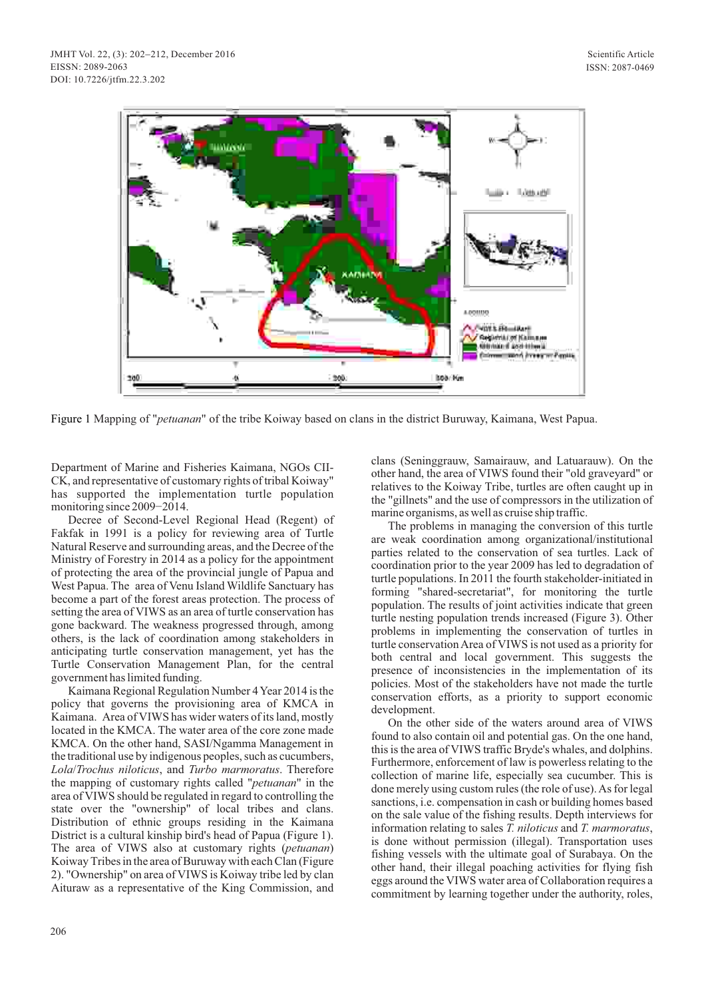

Figure 1 Mapping of "*petuanan*" of the tribe Koiway based on clans in the district Buruway, Kaimana, West Papua.

Department of Marine and Fisheries Kaimana, NGOs CII-CK, and representative of customary rights of tribal Koiway" has supported the implementation turtle population monitoring since 2009−2014.

Decree of Second-Level Regional Head (Regent) of Fakfak in 1991 is a policy for reviewing area of Turtle Natural Reserve and surrounding areas, and the Decree of the Ministry of Forestry in 2014 as a policy for the appointment of protecting the area of the provincial jungle of Papua and West Papua. The area of Venu Island Wildlife Sanctuary has become a part of the forest areas protection. The process of setting the area of VIWS as an area of turtle conservation has gone backward. The weakness progressed through, among others, is the lack of coordination among stakeholders in anticipating turtle conservation management, yet has the Turtle Conservation Management Plan, for the central government has limited funding.

Kaimana Regional Regulation Number 4 Year 2014 is the policy that governs the provisioning area of KMCA in Kaimana. Area of VIWS has wider waters of its land, mostly located in the KMCA. The water area of the core zone made KMCA. On the other hand, SASI/Ngamma Management in the traditional use by indigenous peoples, such as cucumbers, *Lola*/*Trochus niloticus*, and *Turbo marmoratus*. Therefore the mapping of customary rights called "*petuanan*" in the area of VIWS should be regulated in regard to controlling the state over the "ownership" of local tribes and clans. Distribution of ethnic groups residing in the Kaimana District is a cultural kinship bird's head of Papua (Figure 1). The area of VIWS also at customary rights (*petuanan*) Koiway Tribes in the area of Buruway with each Clan (Figure 2). "Ownership" on area of VIWS is Koiway tribe led by clan Aituraw as a representative of the King Commission, and clans (Seninggrauw, Samairauw, and Latuarauw). On the other hand, the area of VIWS found their "old graveyard" or relatives to the Koiway Tribe, turtles are often caught up in the "gillnets" and the use of compressors in the utilization of marine organisms, as well as cruise ship traffic.

The problems in managing the conversion of this turtle are weak coordination among organizational/institutional parties related to the conservation of sea turtles. Lack of coordination prior to the year 2009 has led to degradation of turtle populations. In 2011 the fourth stakeholder-initiated in forming "shared-secretariat", for monitoring the turtle population. The results of joint activities indicate that green turtle nesting population trends increased (Figure 3). Other problems in implementing the conservation of turtles in turtle conservation Area of VIWS is not used as a priority for both central and local government. This suggests the presence of inconsistencies in the implementation of its policies. Most of the stakeholders have not made the turtle conservation efforts, as a priority to support economic development.

On the other side of the waters around area of VIWS found to also contain oil and potential gas. On the one hand, this is the area of VIWS traffic Bryde's whales, and dolphins. Furthermore, enforcement of law is powerless relating to the collection of marine life, especially sea cucumber. This is done merely using custom rules (the role of use). As for legal sanctions, i.e. compensation in cash or building homes based on the sale value of the fishing results. Depth interviews for information relating to sales *T. niloticus* and *T. marmoratus*, is done without permission (illegal). Transportation uses fishing vessels with the ultimate goal of Surabaya. On the other hand, their illegal poaching activities for flying fish eggs around the VIWS water area of Collaboration requires a commitment by learning together under the authority, roles,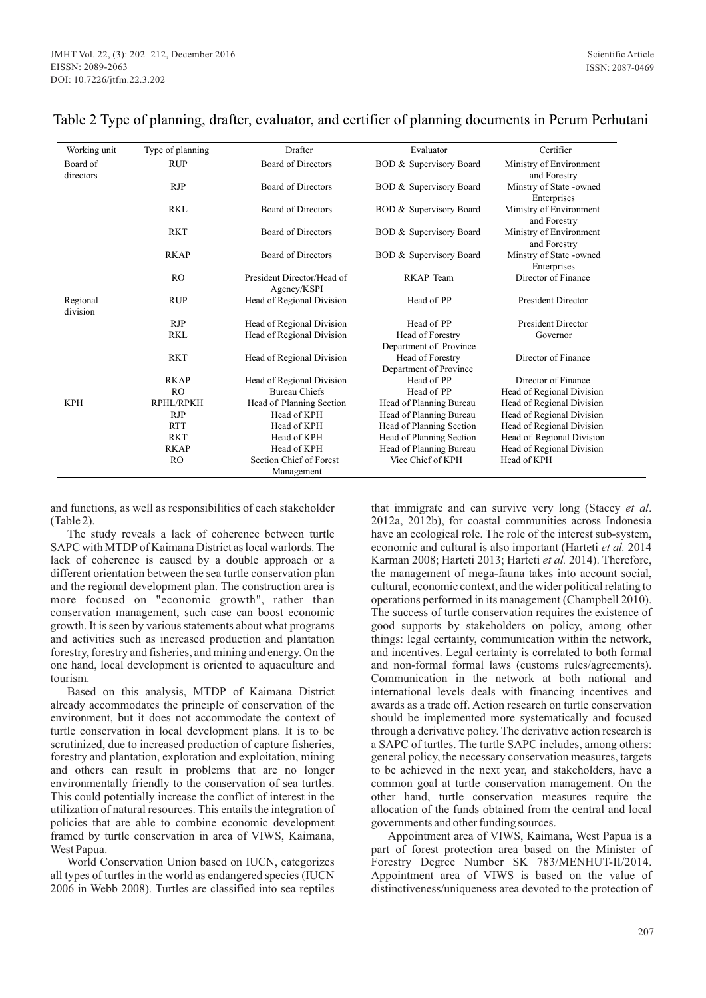| Working unit         | Type of planning | Drafter                                   | Evaluator                          | Certifier                               |
|----------------------|------------------|-------------------------------------------|------------------------------------|-----------------------------------------|
| Board of             | <b>RUP</b>       | <b>Board of Directors</b>                 | BOD & Supervisory Board            | Ministry of Environment                 |
| directors            |                  |                                           |                                    | and Forestry                            |
|                      | <b>RJP</b>       | <b>Board of Directors</b>                 | BOD & Supervisory Board            | Minstry of State -owned                 |
|                      |                  |                                           |                                    | Enterprises                             |
|                      | <b>RKL</b>       | <b>Board of Directors</b>                 | <b>BOD &amp; Supervisory Board</b> | Ministry of Environment<br>and Forestry |
|                      | <b>RKT</b>       | <b>Board of Directors</b>                 | BOD & Supervisory Board            | Ministry of Environment<br>and Forestry |
|                      | <b>RKAP</b>      | <b>Board of Directors</b>                 | BOD & Supervisory Board            | Minstry of State -owned<br>Enterprises  |
|                      | R <sub>O</sub>   | President Director/Head of<br>Agency/KSPI | RKAP Team                          | Director of Finance                     |
| Regional<br>division | <b>RUP</b>       | Head of Regional Division                 | Head of PP                         | <b>President Director</b>               |
|                      | <b>RJP</b>       | Head of Regional Division                 | Head of PP                         | <b>President Director</b>               |
|                      | <b>RKL</b>       | Head of Regional Division                 | Head of Forestry                   | Governor                                |
|                      |                  |                                           | Department of Province             |                                         |
|                      | <b>RKT</b>       | Head of Regional Division                 | Head of Forestry                   | Director of Finance                     |
|                      |                  |                                           | Department of Province             |                                         |
|                      | <b>RKAP</b>      | Head of Regional Division                 | Head of PP                         | Director of Finance                     |
|                      | R <sub>O</sub>   | <b>Bureau Chiefs</b>                      | Head of PP                         | Head of Regional Division               |
| <b>KPH</b>           | RPHL/RPKH        | Head of Planning Section                  | Head of Planning Bureau            | Head of Regional Division               |
|                      | <b>RJP</b>       | Head of KPH                               | Head of Planning Bureau            | Head of Regional Division               |
|                      | <b>RTT</b>       | Head of KPH                               | Head of Planning Section           | Head of Regional Division               |
|                      | <b>RKT</b>       | Head of KPH                               | Head of Planning Section           | Head of Regional Division               |
|                      | <b>RKAP</b>      | Head of KPH                               | Head of Planning Bureau            | Head of Regional Division               |
|                      | <b>RO</b>        | Section Chief of Forest                   | Vice Chief of KPH                  | Head of KPH                             |
|                      |                  | Management                                |                                    |                                         |

## Table 2 Type of planning, drafter, evaluator, and certifier of planning documents in Perum Perhutani

and functions, as well as responsibilities of each stakeholder (Table 2).

The study reveals a lack of coherence between turtle SAPC with MTDP of Kaimana District as local warlords. The lack of coherence is caused by a double approach or a different orientation between the sea turtle conservation plan and the regional development plan. The construction area is more focused on "economic growth", rather than conservation management, such case can boost economic growth. It is seen by various statements about what programs and activities such as increased production and plantation forestry, forestry and fisheries, and mining and energy. On the one hand, local development is oriented to aquaculture and tourism.

Based on this analysis, MTDP of Kaimana District already accommodates the principle of conservation of the environment, but it does not accommodate the context of turtle conservation in local development plans. It is to be scrutinized, due to increased production of capture fisheries, forestry and plantation, exploration and exploitation, mining and others can result in problems that are no longer environmentally friendly to the conservation of sea turtles. This could potentially increase the conflict of interest in the utilization of natural resources. This entails the integration of policies that are able to combine economic development framed by turtle conservation in area of VIWS, Kaimana, West Papua.

World Conservation Union based on IUCN, categorizes all types of turtles in the world as endangered species (IUCN 2006 in Webb 2008). Turtles are classified into sea reptiles

that immigrate and can survive very long (Stacey *et al*. 2012a, 2012b), for coastal communities across Indonesia have an ecological role. The role of the interest sub-system, economic and cultural is also important (Harteti *et al.* 2014 Karman 2008; Harteti 2013; Harteti *et al.* 2014). Therefore, the management of mega-fauna takes into account social, cultural, economic context, and the wider political relating to operations performed in its management (Champbell 2010). The success of turtle conservation requires the existence of good supports by stakeholders on policy, among other things: legal certainty, communication within the network, and incentives. Legal certainty is correlated to both formal and non-formal formal laws (customs rules/agreements). Communication in the network at both national and international levels deals with financing incentives and awards as a trade off. Action research on turtle conservation should be implemented more systematically and focused through a derivative policy. The derivative action research is a SAPC of turtles. The turtle SAPC includes, among others: general policy, the necessary conservation measures, targets to be achieved in the next year, and stakeholders, have a common goal at turtle conservation management. On the other hand, turtle conservation measures require the allocation of the funds obtained from the central and local governments and other funding sources.

Appointment area of VIWS, Kaimana, West Papua is a part of forest protection area based on the Minister of Forestry Degree Number SK 783/MENHUT-II/2014. Appointment area of VIWS is based on the value of distinctiveness/uniqueness area devoted to the protection of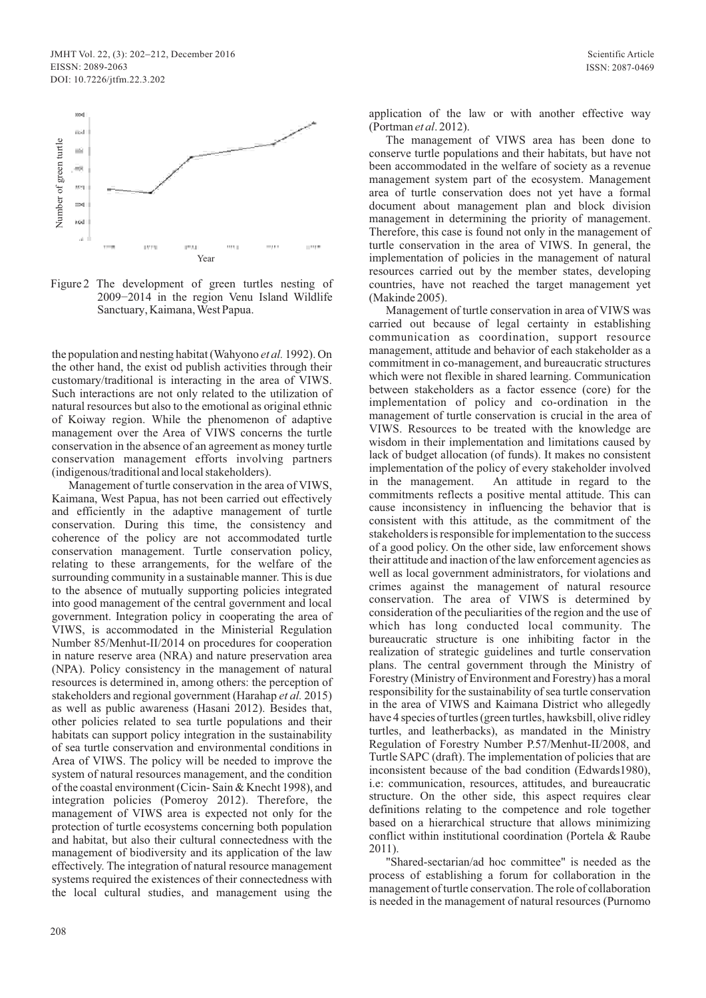

Figure 2 The development of green turtles nesting of 2009−2014 in the region Venu Island Wildlife Sanctuary, Kaimana, West Papua.

the population and nesting habitat (Wahyono *et al.* 1992). On the other hand, the exist od publish activities through their customary/traditional is interacting in the area of VIWS. Such interactions are not only related to the utilization of natural resources but also to the emotional as original ethnic of Koiway region. While the phenomenon of adaptive management over the Area of VIWS concerns the turtle conservation in the absence of an agreement as money turtle conservation management efforts involving partners (indigenous/traditional and local stakeholders).

Management of turtle conservation in the area of VIWS, Kaimana, West Papua, has not been carried out effectively and efficiently in the adaptive management of turtle conservation. During this time, the consistency and coherence of the policy are not accommodated turtle conservation management. Turtle conservation policy, relating to these arrangements, for the welfare of the surrounding community in a sustainable manner. This is due to the absence of mutually supporting policies integrated into good management of the central government and local government. Integration policy in cooperating the area of VIWS, is accommodated in the Ministerial Regulation Number 85/Menhut-II/2014 on procedures for cooperation in nature reserve area (NRA) and nature preservation area (NPA). Policy consistency in the management of natural resources is determined in, among others: the perception of stakeholders and regional government (Harahap *et al.* 2015) as well as public awareness (Hasani 2012). Besides that, other policies related to sea turtle populations and their habitats can support policy integration in the sustainability of sea turtle conservation and environmental conditions in Area of VIWS. The policy will be needed to improve the system of natural resources management, and the condition of the coastal environment (Cicin- Sain & Knecht 1998), and integration policies (Pomeroy 2012). Therefore, the management of VIWS area is expected not only for the protection of turtle ecosystems concerning both population and habitat, but also their cultural connectedness with the management of biodiversity and its application of the law effectively. The integration of natural resource management systems required the existences of their connectedness with the local cultural studies, and management using the

application of the law or with another effective way (Portman *et al*. 2012).

The management of VIWS area has been done to conserve turtle populations and their habitats, but have not been accommodated in the welfare of society as a revenue management system part of the ecosystem. Management area of turtle conservation does not yet have a formal document about management plan and block division management in determining the priority of management. Therefore, this case is found not only in the management of turtle conservation in the area of VIWS. In general, the implementation of policies in the management of natural resources carried out by the member states, developing countries, have not reached the target management yet (Makinde 2005).

Management of turtle conservation in area of VIWS was carried out because of legal certainty in establishing communication as coordination, support resource management, attitude and behavior of each stakeholder as a commitment in co-management, and bureaucratic structures which were not flexible in shared learning. Communication between stakeholders as a factor essence (core) for the implementation of policy and co-ordination in the management of turtle conservation is crucial in the area of VIWS. Resources to be treated with the knowledge are wisdom in their implementation and limitations caused by lack of budget allocation (of funds). It makes no consistent implementation of the policy of every stakeholder involved in the management. An attitude in regard to the commitments reflects a positive mental attitude. This can cause inconsistency in influencing the behavior that is consistent with this attitude, as the commitment of the stakeholders is responsible for implementation to the success of a good policy. On the other side, law enforcement shows their attitude and inaction of the law enforcement agencies as well as local government administrators, for violations and crimes against the management of natural resource conservation. The area of VIWS is determined by consideration of the peculiarities of the region and the use of which has long conducted local community. The bureaucratic structure is one inhibiting factor in the realization of strategic guidelines and turtle conservation plans. The central government through the Ministry of Forestry (Ministry of Environment and Forestry) has a moral responsibility for the sustainability of sea turtle conservation in the area of VIWS and Kaimana District who allegedly have 4 species of turtles (green turtles, hawksbill, olive ridley turtles, and leatherbacks), as mandated in the Ministry Regulation of Forestry Number P.57/Menhut-II/2008, and Turtle SAPC (draft). The implementation of policies that are inconsistent because of the bad condition (Edwards1980), i.e: communication, resources, attitudes, and bureaucratic structure. On the other side, this aspect requires clear definitions relating to the competence and role together based on a hierarchical structure that allows minimizing conflict within institutional coordination (Portela & Raube 2011).

"Shared-sectarian/ad hoc committee" is needed as the process of establishing a forum for collaboration in the management of turtle conservation. The role of collaboration is needed in the management of natural resources (Purnomo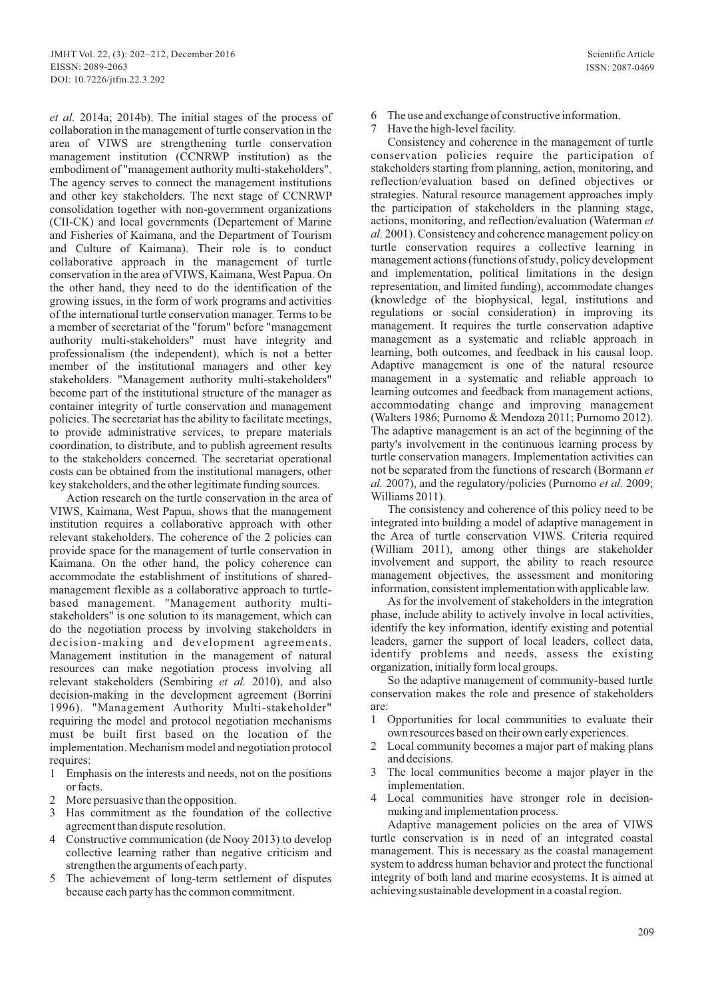*et al.* 2014a; 2014b). The initial stages of the process of collaboration in the management of turtle conservation in the area of VIWS are strengthening turtle conservation management institution (CCNRWP institution) as the embodiment of "management authority multi-stakeholders". The agency serves to connect the management institutions and other key stakeholders. The next stage of CCNRWP consolidation together with non-government organizations (CII-CK) and local governments (Departement of Marine and Fisheries of Kaimana, and the Department of Tourism and Culture of Kaimana). Their role is to conduct collaborative approach in the management of turtle conservation in the area of VIWS, Kaimana, West Papua. On the other hand, they need to do the identification of the growing issues, in the form of work programs and activities of the international turtle conservation manager. Terms to be a member of secretariat of the "forum" before "management authority multi-stakeholders" must have integrity and professionalism (the independent), which is not a better member of the institutional managers and other key stakeholders. "Management authority multi-stakeholders" become part of the institutional structure of the manager as container integrity of turtle conservation and management policies. The secretariat has the ability to facilitate meetings, to provide administrative services, to prepare materials coordination, to distribute, and to publish agreement results to the stakeholders concerned. The secretariat operational costs can be obtained from the institutional managers, other key stakeholders, and the other legitimate funding sources.

Action research on the turtle conservation in the area of VIWS, Kaimana, West Papua, shows that the management institution requires a collaborative approach with other relevant stakeholders. The coherence of the 2 policies can provide space for the management of turtle conservation in Kaimana. On the other hand, the policy coherence can accommodate the establishment of institutions of sharedmanagement flexible as a collaborative approach to turtlebased management. "Management authority multistakeholders" is one solution to its management, which can do the negotiation process by involving stakeholders in decision-making and development agreements. Management institution in the management of natural resources can make negotiation process involving all relevant stakeholders (Sembiring *et al.* 2010), and also decision-making in the development agreement (Borrini 1996). "Management Authority Multi-stakeholder" requiring the model and protocol negotiation mechanisms must be built first based on the location of the implementation. Mechanism model and negotiation protocol requires:

- 1 Emphasis on the interests and needs, not on the positions or facts.
- 2 More persuasive than the opposition.
- 3 Has commitment as the foundation of the collective agreement than dispute resolution.
- 4 Constructive communication (de Nooy 2013) to develop collective learning rather than negative criticism and strengthen the arguments of each party.
- 5 The achievement of long-term settlement of disputes because each party has the common commitment.
- 6 The use and exchange of constructive information.
- Have the high-level facility.

Consistency and coherence in the management of turtle conservation policies require the participation of stakeholders starting from planning, action, monitoring, and reflection/evaluation based on defined objectives or strategies. Natural resource management approaches imply the participation of stakeholders in the planning stage, actions, monitoring, and reflection/evaluation (Waterman *et al.* 2001). Consistency and coherence management policy on turtle conservation requires a collective learning in management actions (functions of study, policy development and implementation, political limitations in the design representation, and limited funding), accommodate changes (knowledge of the biophysical, legal, institutions and regulations or social consideration) in improving its management. It requires the turtle conservation adaptive management as a systematic and reliable approach in learning, both outcomes, and feedback in his causal loop. Adaptive management is one of the natural resource management in a systematic and reliable approach to learning outcomes and feedback from management actions, accommodating change and improving management (Walters 1986; Purnomo & Mendoza 2011; Purnomo 2012). The adaptive management is an act of the beginning of the party's involvement in the continuous learning process by turtle conservation managers. Implementation activities can not be separated from the functions of research (Bormann *et al.* 2007), and the regulatory/policies (Purnomo *et al.* 2009; Williams 2011).

The consistency and coherence of this policy need to be integrated into building a model of adaptive management in the Area of turtle conservation VIWS. Criteria required (William 2011), among other things are stakeholder involvement and support, the ability to reach resource management objectives, the assessment and monitoring information, consistent implementation with applicable law.

As for the involvement of stakeholders in the integration phase, include ability to actively involve in local activities, identify the key information, identify existing and potential leaders, garner the support of local leaders, collect data, identify problems and needs, assess the existing organization, initially form local groups.

So the adaptive management of community-based turtle conservation makes the role and presence of stakeholders are:

- 1 Opportunities for local communities to evaluate their own resources based on their own early experiences.
- 2 Local community becomes a major part of making plans and decisions.
- 3 The local communities become a major player in the implementation.
- Local communities have stronger role in decisionmaking and implementation process.

Adaptive management policies on the area of VIWS turtle conservation is in need of an integrated coastal management. This is necessary as the coastal management system to address human behavior and protect the functional integrity of both land and marine ecosystems. It is aimed at achieving sustainable development in a coastal region.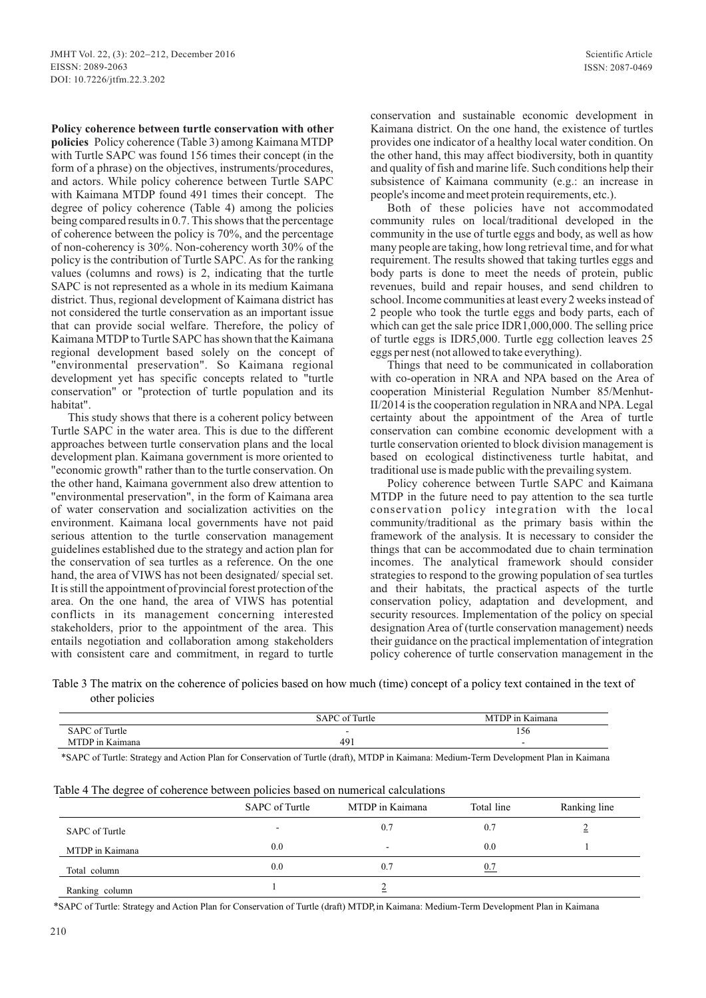**Policy coherence between turtle conservation with other policies** Policy coherence (Table 3) among Kaimana MTDP with Turtle SAPC was found 156 times their concept (in the form of a phrase) on the objectives, instruments/procedures, and actors. While policy coherence between Turtle SAPC with Kaimana MTDP found 491 times their concept. The degree of policy coherence (Table 4) among the policies being compared results in 0.7. This shows that the percentage of coherence between the policy is 70%, and the percentage of non-coherency is 30%. Non-coherency worth 30% of the policy is the contribution of Turtle SAPC. As for the ranking values (columns and rows) is 2, indicating that the turtle SAPC is not represented as a whole in its medium Kaimana district. Thus, regional development of Kaimana district has not considered the turtle conservation as an important issue that can provide social welfare. Therefore, the policy of Kaimana MTDP to Turtle SAPC has shown that the Kaimana regional development based solely on the concept of "environmental preservation". So Kaimana regional development yet has specific concepts related to "turtle conservation" or "protection of turtle population and its habitat".

This study shows that there is a coherent policy between Turtle SAPC in the water area. This is due to the different approaches between turtle conservation plans and the local development plan. Kaimana government is more oriented to "economic growth" rather than to the turtle conservation. On the other hand, Kaimana government also drew attention to "environmental preservation", in the form of Kaimana area of water conservation and socialization activities on the environment. Kaimana local governments have not paid serious attention to the turtle conservation management guidelines established due to the strategy and action plan for the conservation of sea turtles as a reference. On the one hand, the area of VIWS has not been designated/ special set. It is still the appointment of provincial forest protection of the area. On the one hand, the area of VIWS has potential conflicts in its management concerning interested stakeholders, prior to the appointment of the area. This entails negotiation and collaboration among stakeholders with consistent care and commitment, in regard to turtle

conservation and sustainable economic development in Kaimana district. On the one hand, the existence of turtles provides one indicator of a healthy local water condition. On the other hand, this may affect biodiversity, both in quantity and quality of fish and marine life. Such conditions help their subsistence of Kaimana community (e.g.: an increase in people's income and meet protein requirements, etc.).

Both of these policies have not accommodated community rules on local/traditional developed in the community in the use of turtle eggs and body, as well as how many people are taking, how long retrieval time, and for what requirement. The results showed that taking turtles eggs and body parts is done to meet the needs of protein, public revenues, build and repair houses, and send children to school. Income communities at least every 2 weeks instead of 2 people who took the turtle eggs and body parts, each of which can get the sale price IDR1,000,000. The selling price of turtle eggs is IDR5,000. Turtle egg collection leaves 25 eggs per nest (not allowed to take everything).

Things that need to be communicated in collaboration with co-operation in NRA and NPA based on the Area of cooperation Ministerial Regulation Number 85/Menhut-II/2014 is the cooperation regulation in NRAand NPA. Legal certainty about the appointment of the Area of turtle conservation can combine economic development with a turtle conservation oriented to block division management is based on ecological distinctiveness turtle habitat, and traditional use is made public with the prevailing system.

Policy coherence between Turtle SAPC and Kaimana MTDP in the future need to pay attention to the sea turtle conservation policy integration with the local community/traditional as the primary basis within the framework of the analysis. It is necessary to consider the things that can be accommodated due to chain termination incomes. The analytical framework should consider strategies to respond to the growing population of sea turtles and their habitats, the practical aspects of the turtle conservation policy, adaptation and development, and security resources. Implementation of the policy on special designation Area of (turtle conservation management) needs their guidance on the practical implementation of integration policy coherence of turtle conservation management in the

Table 3 The matrix on the coherence of policies based on how much (time) concept of a policy text contained in the text of other policies

|                                    | $\sim$<br>SAPC<br>Turtle<br>. റ† | <b>The Second Second</b><br>aimana<br>M |
|------------------------------------|----------------------------------|-----------------------------------------|
| ` of Turtle<br>$!$ A D $\cap$      | $\overline{\phantom{0}}$         | 156                                     |
| $\sim$<br>∃ ) P_1n<br>aimana<br>NЛ | 491                              | $\overline{\phantom{a}}$                |

\*SAPC of Turtle: Strategy and Action Plan for Conservation of Turtle (draft), MTDP in Kaimana: Medium-Term Development Plan in Kaimana

|                 | SAPC of Turtle | MTDP in Kaimana          | Total line | Ranking line |
|-----------------|----------------|--------------------------|------------|--------------|
| SAPC of Turtle  |                | 0.7                      | 0.7        |              |
| MTDP in Kaimana | 0.0            | $\overline{\phantom{a}}$ | 0.0        |              |
| Total column    | 0.0            | 0.7                      | 0.7        |              |
| Ranking column  |                |                          |            |              |

Table 4 The degree of coherence between policies based on numerical calculations

\*SAPC of Turtle: Strategy and Action Plan for Conservation of Turtle (draft) MTDP, in Kaimana: Medium-Term Development Plan in Kaimana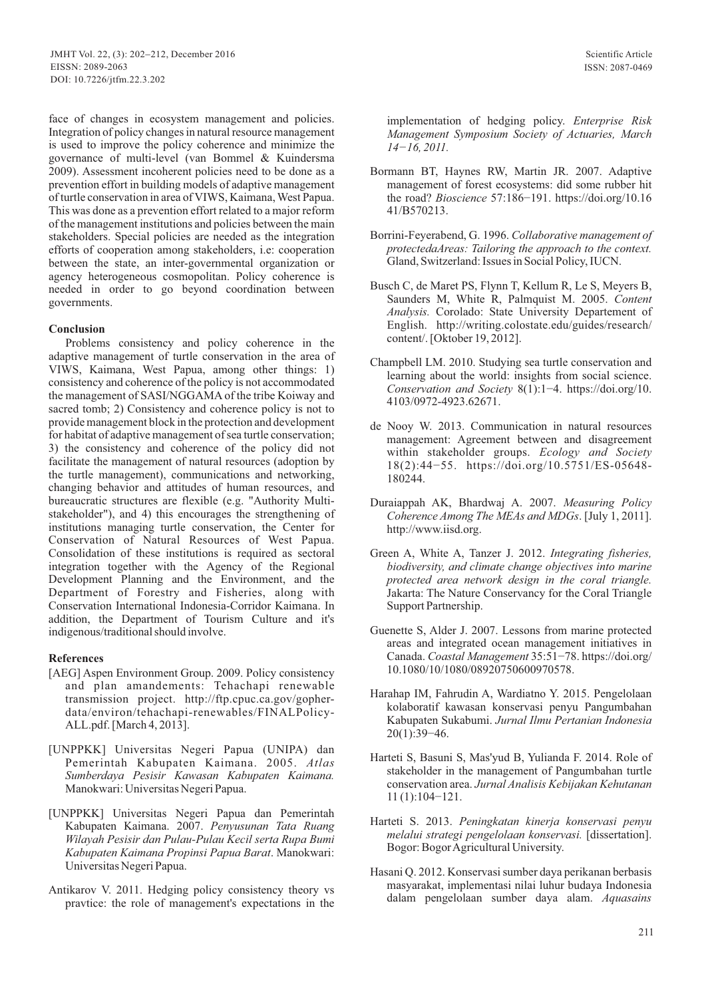face of changes in ecosystem management and policies. Integration of policy changes in natural resource management is used to improve the policy coherence and minimize the governance of multi-level (van Bommel & Kuindersma 2009). Assessment incoherent policies need to be done as a prevention effort in building models of adaptive management of turtle conservation in area of VIWS, Kaimana, West Papua. This was done as a prevention effort related to a major reform of the management institutions and policies between the main stakeholders. Special policies are needed as the integration efforts of cooperation among stakeholders, i.e: cooperation between the state, an inter-governmental organization or agency heterogeneous cosmopolitan. Policy coherence is needed in order to go beyond coordination between governments.

### **Conclusion**

Problems consistency and policy coherence in the adaptive management of turtle conservation in the area of VIWS, Kaimana, West Papua, among other things: 1) consistency and coherence of the policy is not accommodated the management of SASI/NGGAMAof the tribe Koiway and sacred tomb; 2) Consistency and coherence policy is not to provide management block in the protection and development for habitat of adaptive management of sea turtle conservation; 3) the consistency and coherence of the policy did not facilitate the management of natural resources (adoption by the turtle management), communications and networking, changing behavior and attitudes of human resources, and bureaucratic structures are flexible (e.g. "Authority Multistakeholder"), and 4) this encourages the strengthening of institutions managing turtle conservation, the Center for Conservation of Natural Resources of West Papua. Consolidation of these institutions is required as sectoral integration together with the Agency of the Regional Development Planning and the Environment, and the Department of Forestry and Fisheries, along with Conservation International Indonesia-Corridor Kaimana. In addition, the Department of Tourism Culture and it's indigenous/traditional should involve.

#### **References**

- [AEG] Aspen Environment Group. 2009. Policy consistency and plan amandements: Tehachapi renewable transmission project. http://ftp.cpuc.ca.gov/gopherdata/environ/tehachapi-renewables/FINALPolicy-ALL.pdf. [March 4, 2013].
- [UNPPKK] Universitas Negeri Papua (UNIPA) dan Pemerintah Kabupaten Kaimana. 2005. *Atlas Sumberdaya Pesisir Kawasan Kabupaten Kaimana.* Manokwari: Universitas Negeri Papua.
- [UNPPKK] Universitas Negeri Papua dan Pemerintah Kabupaten Kaimana. 2007. *Penyusunan Tata Ruang Wilayah Pesisir dan Pulau-Pulau Kecil serta Rupa Bumi Kabupaten Kaimana Propinsi Papua Barat*. Manokwari: Universitas Negeri Papua.
- Antikarov V. 2011. Hedging policy consistency theory vs pravtice: the role of management's expectations in the

implementation of hedging policy. *Enterprise Risk Management Symposium Society of Actuaries, March 14−16, 2011.*

- Bormann BT, Haynes RW, Martin JR. 2007. Adaptive management of forest ecosystems: did some rubber hit the road? *Bioscience* 57:186−191. https://doi.org/10.16 41/B570213.
- Borrini-Feyerabend, G. 1996. *Collaborative management of protectedaAreas: Tailoring the approach to the context.* Gland, Switzerland: Issues in Social Policy, IUCN.
- Busch C, de Maret PS, Flynn T, Kellum R, Le S, Meyers B, Saunders M, White R, Palmquist M. 2005. *Content Analysis.* Corolado: State University Departement of English. http://writing.colostate.edu/guides/research/ content/. [Oktober 19, 2012].
- Champbell LM. 2010. Studying sea turtle conservation and learning about the world: insights from social science. *Conservation and Society* 8(1):1−4. https://doi.org/10. 4103/0972-4923.62671.
- de Nooy W. 2013. Communication in natural resources management: Agreement between and disagreement within stakeholder groups. *Ecology and Society* 18(2):44−55. https://doi.org/10.5751/ES-05648- 180244.
- Duraiappah AK, Bhardwaj A. 2007. *Measuring Policy Coherence Among The MEAs and MDGs*. [July 1, 2011]. http://www.iisd.org.
- Green A, White A, Tanzer J. 2012. *Integrating fisheries, biodiversity, and climate change objectives into marine protected area network design in the coral triangle.* Jakarta: The Nature Conservancy for the Coral Triangle Support Partnership.
- Guenette S, Alder J. 2007. Lessons from marine protected areas and integrated ocean management initiatives in Canada. *Coastal Management* 35:51−78. https://doi.org/ 10.1080/10/1080/08920750600970578.
- Harahap IM, Fahrudin A, Wardiatno Y. 2015. Pengelolaan kolaboratif kawasan konservasi penyu Pangumbahan Kabupaten Sukabumi. *Jurnal Ilmu Pertanian Indonesia*  20(1):39−46.
- Harteti S, Basuni S, Mas'yud B, Yulianda F. 2014. Role of stakeholder in the management of Pangumbahan turtle conservation area. *Jurnal Analisis Kebijakan Kehutanan* 11 (1):104−121.
- Harteti S. 2013. *Peningkatan kinerja konservasi penyu melalui strategi pengelolaan konservasi.* [dissertation]. Bogor: Bogor Agricultural University.
- Hasani Q. 2012. Konservasi sumber daya perikanan berbasis masyarakat, implementasi nilai luhur budaya Indonesia dalam pengelolaan sumber daya alam. *Aquasains*